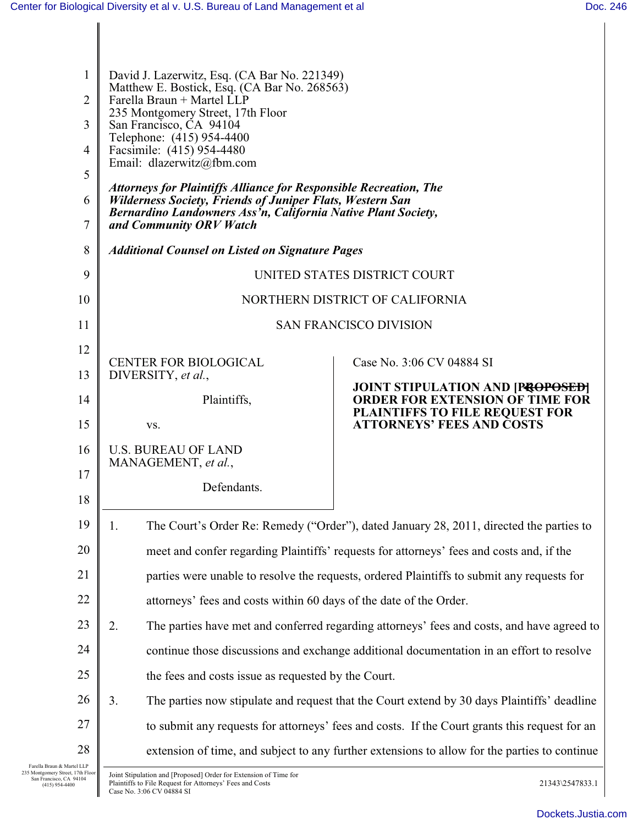$\parallel$ 

| 1<br>2<br>3<br>4<br>5<br>6<br>7 | David J. Lazerwitz, Esq. (CA Bar No. 221349)<br>Matthew E. Bostick, Esq. (CA Bar No. 268563)<br>Farella Braun + Martel LLP<br>235 Montgomery Street, 17th Floor<br>San Francisco, CA 94104<br>Telephone: (415) 954-4400<br>Facsimile: (415) 954-4480<br>Email: dlazerwitz@fbm.com<br><b>Attorneys for Plaintiffs Alliance for Responsible Recreation, The</b><br><b>Wilderness Society, Friends of Juniper Flats, Western San</b><br>Bernardino Landowners Ass'n, California Native Plant Society,<br>and Community ORV Watch |                                                                                             |  |
|---------------------------------|-------------------------------------------------------------------------------------------------------------------------------------------------------------------------------------------------------------------------------------------------------------------------------------------------------------------------------------------------------------------------------------------------------------------------------------------------------------------------------------------------------------------------------|---------------------------------------------------------------------------------------------|--|
| 8                               | <b>Additional Counsel on Listed on Signature Pages</b>                                                                                                                                                                                                                                                                                                                                                                                                                                                                        |                                                                                             |  |
| 9                               | UNITED STATES DISTRICT COURT                                                                                                                                                                                                                                                                                                                                                                                                                                                                                                  |                                                                                             |  |
| 10                              | NORTHERN DISTRICT OF CALIFORNIA                                                                                                                                                                                                                                                                                                                                                                                                                                                                                               |                                                                                             |  |
| 11                              | <b>SAN FRANCISCO DIVISION</b>                                                                                                                                                                                                                                                                                                                                                                                                                                                                                                 |                                                                                             |  |
| 12                              | <b>CENTER FOR BIOLOGICAL</b>                                                                                                                                                                                                                                                                                                                                                                                                                                                                                                  | Case No. 3:06 CV 04884 SI                                                                   |  |
| 13                              | DIVERSITY, et al.,<br><b>JOINT STIPULATION AND [PROPOSED]</b>                                                                                                                                                                                                                                                                                                                                                                                                                                                                 |                                                                                             |  |
| 14                              | Plaintiffs,                                                                                                                                                                                                                                                                                                                                                                                                                                                                                                                   | <b>ORDER FOR EXTENSION OF TIME FOR</b><br>PLAINTIFFS TO FILE REQUEST FOR                    |  |
| 15                              | VS.                                                                                                                                                                                                                                                                                                                                                                                                                                                                                                                           | <b>ATTORNEYS' FEES AND COSTS</b>                                                            |  |
| 16                              | <b>U.S. BUREAU OF LAND</b><br>MANAGEMENT, et al.,                                                                                                                                                                                                                                                                                                                                                                                                                                                                             |                                                                                             |  |
| 17                              | Defendants.                                                                                                                                                                                                                                                                                                                                                                                                                                                                                                                   |                                                                                             |  |
| 18                              |                                                                                                                                                                                                                                                                                                                                                                                                                                                                                                                               |                                                                                             |  |
| 19                              | 1.                                                                                                                                                                                                                                                                                                                                                                                                                                                                                                                            | The Court's Order Re: Remedy ("Order"), dated January 28, 2011, directed the parties to     |  |
| 20                              | meet and confer regarding Plaintiffs' requests for attorneys' fees and costs and, if the                                                                                                                                                                                                                                                                                                                                                                                                                                      |                                                                                             |  |
| 21                              | parties were unable to resolve the requests, ordered Plaintiffs to submit any requests for                                                                                                                                                                                                                                                                                                                                                                                                                                    |                                                                                             |  |
| 22                              | attorneys' fees and costs within 60 days of the date of the Order.                                                                                                                                                                                                                                                                                                                                                                                                                                                            |                                                                                             |  |
| 23                              | 2.<br>The parties have met and conferred regarding attorneys' fees and costs, and have agreed to                                                                                                                                                                                                                                                                                                                                                                                                                              |                                                                                             |  |
| 24                              | continue those discussions and exchange additional documentation in an effort to resolve                                                                                                                                                                                                                                                                                                                                                                                                                                      |                                                                                             |  |
| 25                              | the fees and costs issue as requested by the Court.                                                                                                                                                                                                                                                                                                                                                                                                                                                                           |                                                                                             |  |
| 26                              | 3.                                                                                                                                                                                                                                                                                                                                                                                                                                                                                                                            | The parties now stipulate and request that the Court extend by 30 days Plaintiffs' deadline |  |
| 27                              | to submit any requests for attorneys' fees and costs. If the Court grants this request for an                                                                                                                                                                                                                                                                                                                                                                                                                                 |                                                                                             |  |
| 28                              | extension of time, and subject to any further extensions to allow for the parties to continue                                                                                                                                                                                                                                                                                                                                                                                                                                 |                                                                                             |  |
| Martel LLP<br>treet, 17th Floor | Joint Stipulation and [Proposed] Order for Extension of Time for                                                                                                                                                                                                                                                                                                                                                                                                                                                              |                                                                                             |  |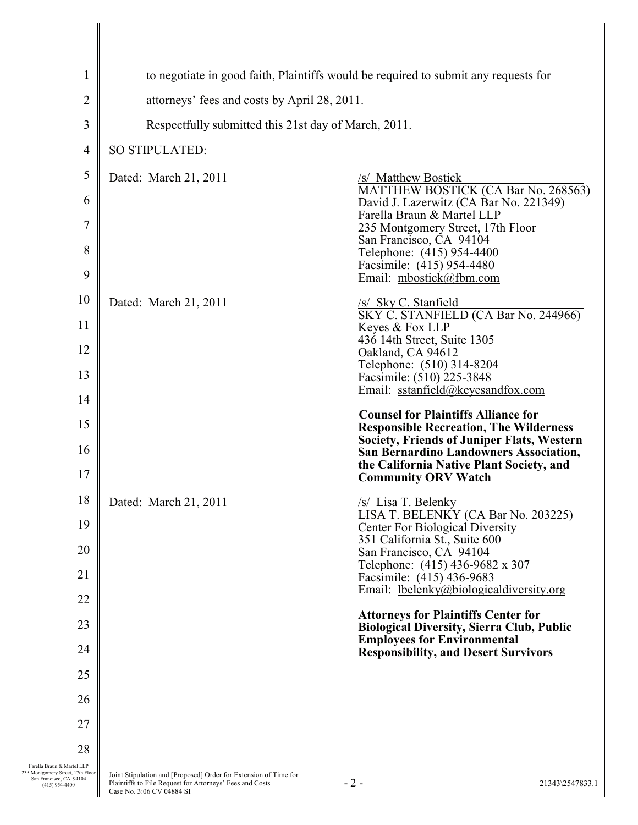| $\mathbf{1}$                                                                                                   | to negotiate in good faith, Plaintiffs would be required to submit any requests for                                                                       |                                                                                                |  |
|----------------------------------------------------------------------------------------------------------------|-----------------------------------------------------------------------------------------------------------------------------------------------------------|------------------------------------------------------------------------------------------------|--|
| 2                                                                                                              | attorneys' fees and costs by April 28, 2011.                                                                                                              |                                                                                                |  |
| $\mathfrak{Z}$                                                                                                 | Respectfully submitted this 21st day of March, 2011.                                                                                                      |                                                                                                |  |
| 4                                                                                                              | SO STIPULATED:                                                                                                                                            |                                                                                                |  |
| 5                                                                                                              | Dated: March 21, 2011                                                                                                                                     | /s/ Matthew Bostick                                                                            |  |
| 6                                                                                                              |                                                                                                                                                           | MATTHEW BOSTICK (CA Bar No. 268563)<br>David J. Lazerwitz (CA Bar No. 221349)                  |  |
| 7                                                                                                              |                                                                                                                                                           | Farella Braun & Martel LLP<br>235 Montgomery Street, 17th Floor                                |  |
| 8                                                                                                              |                                                                                                                                                           | San Francisco, CA 94104<br>Telephone: (415) 954-4400                                           |  |
| 9                                                                                                              |                                                                                                                                                           | Facsimile: (415) 954-4480<br>Email: mbostick@fbm.com                                           |  |
| 10                                                                                                             | Dated: March 21, 2011                                                                                                                                     | /s/ Sky C. Stanfield                                                                           |  |
| 11                                                                                                             |                                                                                                                                                           | SKY C. STANFIELD (CA Bar No. 244966)<br>Keyes & Fox LLP                                        |  |
| 12                                                                                                             |                                                                                                                                                           | 436 14th Street, Suite 1305<br>Oakland, CA 94612                                               |  |
| 13                                                                                                             |                                                                                                                                                           | Telephone: (510) 314-8204<br>Facsimile: (510) 225-3848                                         |  |
| 14                                                                                                             |                                                                                                                                                           | Email: sstanfield@keyesandfox.com                                                              |  |
| 15                                                                                                             |                                                                                                                                                           | <b>Counsel for Plaintiffs Alliance for</b><br><b>Responsible Recreation, The Wilderness</b>    |  |
| 16                                                                                                             |                                                                                                                                                           | Society, Friends of Juniper Flats, Western<br>San Bernardino Landowners Association,           |  |
| 17                                                                                                             |                                                                                                                                                           | the California Native Plant Society, and<br><b>Community ORV Watch</b>                         |  |
| 18                                                                                                             | Dated: March 21, 2011                                                                                                                                     | <i>/s/ Lisa T. Belenky</i>                                                                     |  |
| 19                                                                                                             |                                                                                                                                                           | LISA T. BELENKY (CA Bar No. 203225)<br><b>Center For Biological Diversity</b>                  |  |
| 20                                                                                                             |                                                                                                                                                           | 351 California St., Suite 600<br>San Francisco, CA 94104                                       |  |
| 21                                                                                                             |                                                                                                                                                           | Telephone: (415) 436-9682 x 307<br>Facsimile: (415) 436-9683                                   |  |
| 22                                                                                                             |                                                                                                                                                           | Email: lbelenky@biologicaldiversity.org                                                        |  |
| 23                                                                                                             |                                                                                                                                                           | <b>Attorneys for Plaintiffs Center for</b><br><b>Biological Diversity, Sierra Club, Public</b> |  |
| 24                                                                                                             |                                                                                                                                                           | <b>Employees for Environmental</b><br><b>Responsibility, and Desert Survivors</b>              |  |
| 25                                                                                                             |                                                                                                                                                           |                                                                                                |  |
| 26                                                                                                             |                                                                                                                                                           |                                                                                                |  |
| 27                                                                                                             |                                                                                                                                                           |                                                                                                |  |
| 28                                                                                                             |                                                                                                                                                           |                                                                                                |  |
| Farella Braun & Martel LLP<br>235 Montgomery Street, 17th Floor<br>San Francisco, CA 94104<br>$(415)$ 954-4400 | Joint Stipulation and [Proposed] Order for Extension of Time for<br>Plaintiffs to File Request for Attorneys' Fees and Costs<br>Case No. 3:06 CV 04884 SI | $-2-$<br>21343\2547833.1                                                                       |  |